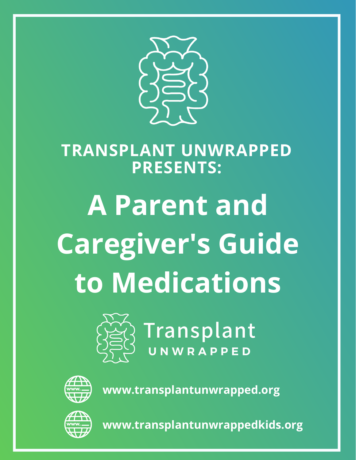

#### **TRANSPLANT UNWRAPPED PRESENTS:**

# **A Parent and Caregiver's Guide to Medications**



Transplant



**www.transplantunwrapped.org**



**www.transplantunwrappedkids.org**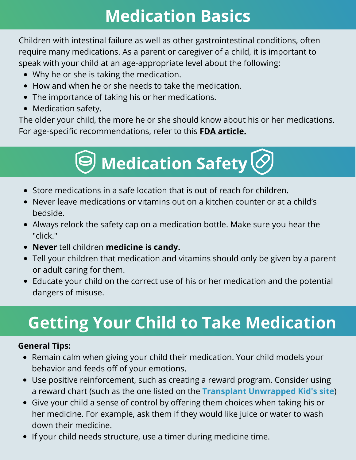### **Medication Basics**

Children with intestinal failure as well as other gastrointestinal conditions, often require many medications. As a parent or caregiver of a child, it is important to speak with your child at an age-appropriate level about the following:

- Why he or she is taking the medication.
- How and when he or she needs to take the medication.
- The importance of taking his or her medications.
- Medication safety.

The older your child, the more he or she should know about his or her medications. For age-specific recommendations, refer to this **FDA [article.](https://www.fda.gov/drugs/understanding-over-counter-medicines/they-grow-teaching-your-children-how-use-medicines-safely)**

## **Medication Safety**

- Store medications in a safe location that is out of reach for children.
- Never leave medications or vitamins out on a kitchen counter or at a child's bedside.
- Always relock the safety cap on a medication bottle. Make sure you hear the "click."
- **Never** tell children **medicine is candy.**
- Tell your children that medication and vitamins should only be given by a parent or adult caring for them.
- Educate your child on the correct use of his or her medication and the potential dangers of misuse.

### **Getting Your Child to Take Medication**

#### **General Tips:**

- Remain calm when giving your child their medication. Your child models your behavior and feeds off of your emotions.
- Use positive reinforcement, such as creating a reward program. Consider using a reward chart (such as the one listed on the **Transplant [Unwrapped](https://www.transplantunwrappedkids.org/parents) Kid's site**)
- Give your child a sense of control by offering them choices when taking his or her medicine. For example, ask them if they would like juice or water to wash down their medicine.
- If your child needs structure, use a timer during medicine time.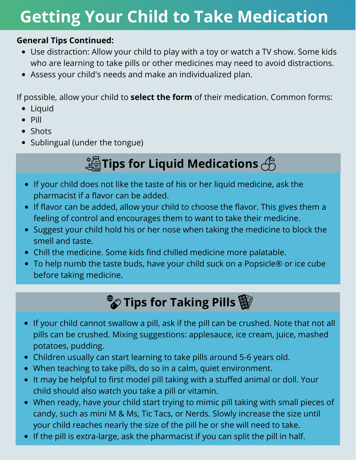### **Getting Your Child to Take Medication**

#### **General Tips Continued:**

- Use distraction: Allow your child to play with a toy or watch a TV show. Some kids who are learning to take pills or other medicines may need to avoid distractions.
- Assess your child's needs and make an individualized plan.

If possible, allow your child to **select the form** of their medication. Common forms:

- Liquid
- $\bullet$  Pill
- Shots
- Sublingual (under the tongue)

#### **Tips for Liquid Medications**

- If your child does not like the taste of his or her liquid medicine, ask the pharmacist if a flavor can be added.
- If flavor can be added, allow your child to choose the flavor. This gives them a feeling of control and encourages them to want to take their medicine.
- Suggest your child hold his or her nose when taking the medicine to block the smell and taste.
- Chill the medicine. Some kids find chilled medicine more palatable.
- To help numb the taste buds, have your child suck on a Popsicle® or ice cube before taking medicine.

#### **Tips for Taking Pills**

- If your child cannot swallow a pill, ask if the pill can be crushed. Note that not all pills can be crushed. Mixing suggestions: applesauce, ice cream, juice, mashed potatoes, pudding.
- Children usually can start learning to take pills around 5-6 years old.
- When teaching to take pills, do so in a calm, quiet environment.
- It may be helpful to first model pill taking with a stuffed animal or doll. Your child should also watch you take a pill or vitamin.
- When ready, have your child start trying to mimic pill taking with small pieces of candy, such as mini M & Ms, Tic Tacs, or Nerds. Slowly increase the size until your child reaches nearly the size of the pill he or she will need to take.
- If the pill is extra-large, ask the pharmacist if you can split the pill in half.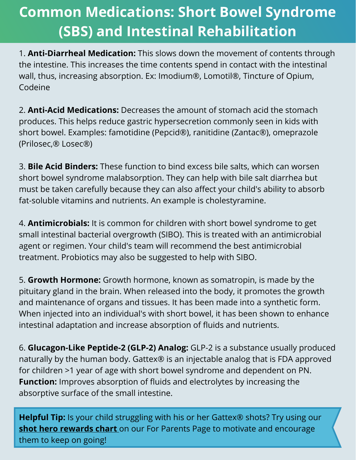#### **Common Medications: Short Bowel Syndrome (SBS) and Intestinal Rehabilitation**

1. **Anti-Diarrheal Medication:** This slows down the movement of contents through the intestine. This increases the time contents spend in contact with the intestinal wall, thus, increasing absorption. Ex: Imodium®, Lomotil®, Tincture of Opium, Codeine

2. **Anti-Acid Medications:** Decreases the amount of stomach acid the stomach produces. This helps reduce gastric hypersecretion commonly seen in kids with short bowel. Examples: famotidine (Pepcid®), ranitidine (Zantac®), omeprazole (Prilosec,® Losec®)

3. **Bile Acid Binders:** These function to bind excess bile salts, which can worsen short bowel syndrome malabsorption. They can help with bile salt diarrhea but must be taken carefully because they can also affect your child's ability to absorb fat-soluble vitamins and nutrients. An example is cholestyramine.

4. **Antimicrobials:** It is common for children with short bowel syndrome to get small intestinal bacterial overgrowth (SIBO). This is treated with an antimicrobial agent or regimen. Your child's team will recommend the best antimicrobial treatment. Probiotics may also be suggested to help with SIBO.

5. **Growth Hormone:** Growth hormone, known as somatropin, is made by the pituitary gland in the brain. When released into the body, it promotes the growth and maintenance of organs and tissues. It has been made into a synthetic form. When injected into an individual's with short bowel, it has been shown to enhance intestinal adaptation and increase absorption of fluids and nutrients.

6. **Glucagon-Like Peptide-2 (GLP-2) Analog:** GLP-2 is a substance usually produced naturally by the human body. Gattex® is an injectable analog that is FDA approved for children >1 year of age with short bowel syndrome and dependent on PN. **Function:** Improves absorption of fluids and electrolytes by increasing the absorptive surface of the small intestine.

**Helpful Tip:** Is your child struggling with his or her Gattex® shots? Try using our **shot hero [rewards](https://f4096be7-7aea-42cd-98f6-5b2b52a49a30.usrfiles.com/ugd/f4096b_5099287e26e64736a1155bf88efddc27.pdf) chart** on our For Parents Page to motivate and encourage them to keep on going!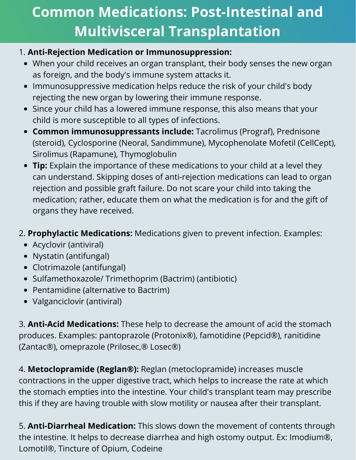#### **Common Medications: Post-Intestinal and Multivisceral Transplantation**

#### 1. **Anti-Rejection Medication or Immunosuppression:**

- When your child receives an organ transplant, their body senses the new organ as foreign, and the body's immune system attacks it.
- Immunosuppressive medication helps reduce the risk of your child's body rejecting the new organ by lowering their immune response.
- Since your child has a lowered immune response, this also means that your child is more susceptible to all types of infections.
- **Common immunosuppressants include:** Tacrolimus (Prograf), Prednisone (steroid), Cyclosporine (Neoral, Sandimmune), Mycophenolate Mofetil (CellCept), Sirolimus (Rapamune), Thymoglobulin
- **Tip:** Explain the importance of these medications to your child at a level they can understand. Skipping doses of anti-rejection medications can lead to organ rejection and possible graft failure. Do not scare your child into taking the medication; rather, educate them on what the medication is for and the gift of organs they have received.
- 2. **Prophylactic Medications:** Medications given to prevent infection. Examples:
	- Acyclovir (antiviral)
	- Nystatin (antifungal)
	- Clotrimazole (antifungal)
	- Sulfamethoxazole/ Trimethoprim (Bactrim) (antibiotic)
	- Pentamidine (alternative to Bactrim)
	- Valganciclovir (antiviral)

3. **Anti-Acid Medications:** These help to decrease the amount of acid the stomach produces. Examples: pantoprazole (Protonix®), famotidine (Pepcid®), ranitidine (Zantac®), omeprazole (Prilosec,® Losec®)

4. **Metoclopramide (Reglan®):** Reglan (metoclopramide) increases muscle contractions in the upper digestive tract, which helps to increase the rate at which the stomach empties into the intestine. Your child's transplant team may prescribe this if they are having trouble with slow motility or nausea after their transplant.

5. **Anti-Diarrheal Medication:** This slows down the movement of contents through the intestine. It helps to decrease diarrhea and high ostomy output. Ex: Imodium®, Lomotil®, Tincture of Opium, Codeine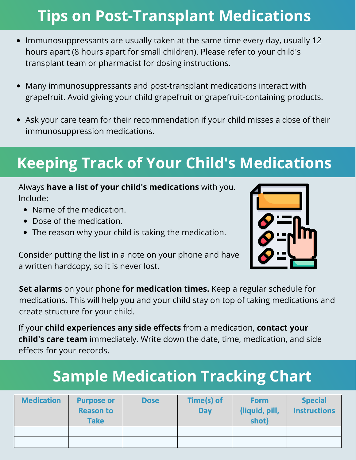#### **Tips on Post-Transplant Medications**

- Immunosuppressants are usually taken at the same time every day, usually 12 hours apart (8 hours apart for small children). Please refer to your child's transplant team or pharmacist for dosing instructions.
- Many immunosuppressants and post-transplant medications interact with  $\bullet$ grapefruit. Avoid giving your child grapefruit or grapefruit-containing products.
- Ask your care team for their recommendation if your child misses a dose of their  $\bullet$ immunosuppression medications.

### **Keeping Track of Your Child's Medications**

#### Always **have a list of your child's medications** with you. Include:

- Name of the medication.
- Dose of the medication.
- The reason why your child is taking the medication.

Consider putting the list in a note on your phone and have a written hardcopy, so it is never lost.



**Set alarms** on your phone **for medication times.** Keep a regular schedule for medications. This will help you and your child stay on top of taking medications and create structure for your child.

.<br>r. If your **child experiences any side effects** from a medication, **contact your child's care team** immediately. Write down the date, time, medication, and side effects for your records.

### **Sample Medication Tracking Chart**

| <b>Medication</b> | <b>Purpose or</b><br><b>Reason to</b><br><b>Take</b> | <b>Dose</b> | Time(s) of<br><b>Day</b> | <b>Form</b><br>(liquid, pill,<br>shot) | <b>Special</b><br><b>Instructions</b> |
|-------------------|------------------------------------------------------|-------------|--------------------------|----------------------------------------|---------------------------------------|
|                   |                                                      |             |                          |                                        |                                       |
|                   |                                                      |             |                          |                                        |                                       |